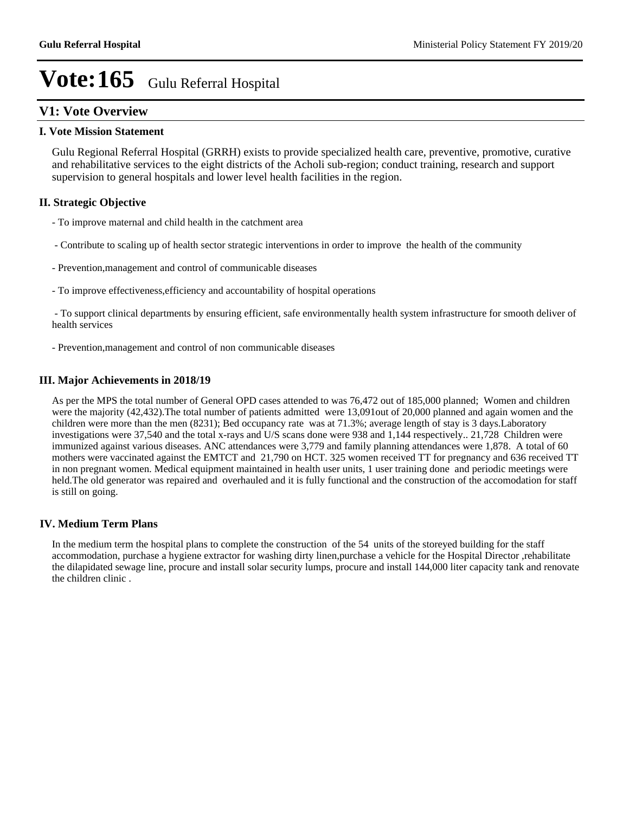### **V1: Vote Overview**

#### **I. Vote Mission Statement**

Gulu Regional Referral Hospital (GRRH) exists to provide specialized health care, preventive, promotive, curative and rehabilitative services to the eight districts of the Acholi sub-region; conduct training, research and support supervision to general hospitals and lower level health facilities in the region.

#### **II. Strategic Objective**

- To improve maternal and child health in the catchment area
- Contribute to scaling up of health sector strategic interventions in order to improve the health of the community
- Prevention,management and control of communicable diseases
- To improve effectiveness,efficiency and accountability of hospital operations

 - To support clinical departments by ensuring efficient, safe environmentally health system infrastructure for smooth deliver of health services

- Prevention,management and control of non communicable diseases

#### **III. Major Achievements in 2018/19**

As per the MPS the total number of General OPD cases attended to was 76,472 out of 185,000 planned; Women and children were the majority (42,432).The total number of patients admitted were 13,091out of 20,000 planned and again women and the children were more than the men (8231); Bed occupancy rate was at 71.3%; average length of stay is 3 days.Laboratory investigations were 37,540 and the total x-rays and U/S scans done were 938 and 1,144 respectively.. 21,728 Children were immunized against various diseases. ANC attendances were 3,779 and family planning attendances were 1,878. A total of 60 mothers were vaccinated against the EMTCT and 21,790 on HCT. 325 women received TT for pregnancy and 636 received TT in non pregnant women. Medical equipment maintained in health user units, 1 user training done and periodic meetings were held. The old generator was repaired and overhauled and it is fully functional and the construction of the accomodation for staff is still on going.

#### **IV. Medium Term Plans**

In the medium term the hospital plans to complete the construction of the 54 units of the storeyed building for the staff accommodation, purchase a hygiene extractor for washing dirty linen,purchase a vehicle for the Hospital Director ,rehabilitate the dilapidated sewage line, procure and install solar security lumps, procure and install 144,000 liter capacity tank and renovate the children clinic .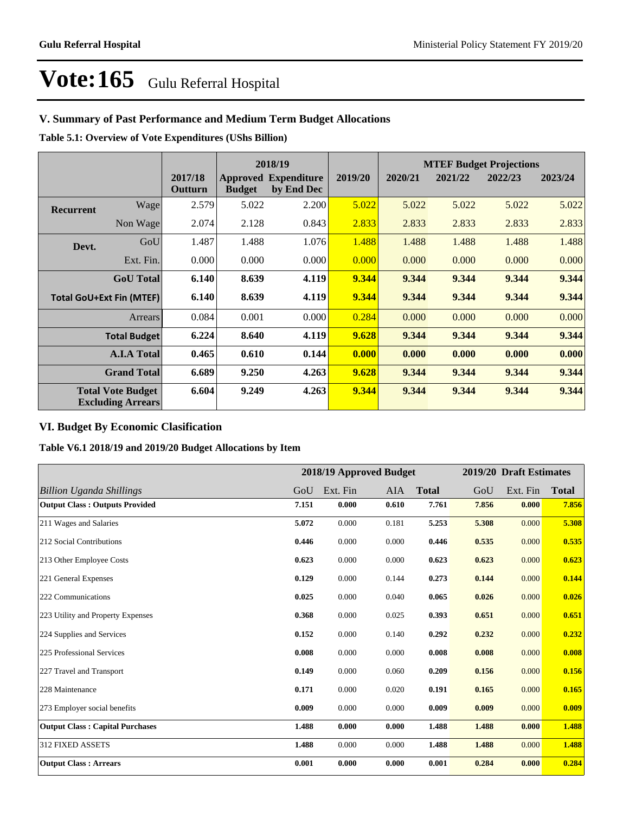### **V. Summary of Past Performance and Medium Term Budget Allocations**

**Table 5.1: Overview of Vote Expenditures (UShs Billion)**

|                  | 2018/19                                              |                    |               |                                           | <b>MTEF Budget Projections</b> |         |         |         |         |
|------------------|------------------------------------------------------|--------------------|---------------|-------------------------------------------|--------------------------------|---------|---------|---------|---------|
|                  |                                                      | 2017/18<br>Outturn | <b>Budget</b> | <b>Approved Expenditure</b><br>by End Dec | 2019/20                        | 2020/21 | 2021/22 | 2022/23 | 2023/24 |
| <b>Recurrent</b> | Wagel                                                | 2.579              | 5.022         | 2.200                                     | 5.022                          | 5.022   | 5.022   | 5.022   | 5.022   |
|                  | Non Wage                                             | 2.074              | 2.128         | 0.843                                     | 2.833                          | 2.833   | 2.833   | 2.833   | 2.833   |
| Devt.            | GoU                                                  | 1.487              | 1.488         | 1.076                                     | 1.488                          | 1.488   | 1.488   | 1.488   | 1.488   |
|                  | Ext. Fin.                                            | 0.000              | 0.000         | 0.000                                     | 0.000                          | 0.000   | 0.000   | 0.000   | 0.000   |
|                  | <b>GoU</b> Total                                     | 6.140              | 8.639         | 4.119                                     | 9.344                          | 9.344   | 9.344   | 9.344   | 9.344   |
|                  | <b>Total GoU+Ext Fin (MTEF)</b>                      | 6.140              | 8.639         | 4.119                                     | 9.344                          | 9.344   | 9.344   | 9.344   | 9.344   |
|                  | Arrears                                              | 0.084              | 0.001         | 0.000                                     | 0.284                          | 0.000   | 0.000   | 0.000   | 0.000   |
|                  | <b>Total Budget</b>                                  | 6.224              | 8.640         | 4.119                                     | 9.628                          | 9.344   | 9.344   | 9.344   | 9.344   |
|                  | <b>A.I.A Total</b>                                   | 0.465              | 0.610         | 0.144                                     | 0.000                          | 0.000   | 0.000   | 0.000   | 0.000   |
|                  | <b>Grand Total</b>                                   | 6.689              | 9.250         | 4.263                                     | 9.628                          | 9.344   | 9.344   | 9.344   | 9.344   |
|                  | <b>Total Vote Budget</b><br><b>Excluding Arrears</b> | 6.604              | 9.249         | 4.263                                     | 9.344                          | 9.344   | 9.344   | 9.344   | 9.344   |

#### **VI. Budget By Economic Clasification**

**Table V6.1 2018/19 and 2019/20 Budget Allocations by Item**

|                                        |       | 2018/19 Approved Budget |       |              |       | 2019/20 Draft Estimates |              |
|----------------------------------------|-------|-------------------------|-------|--------------|-------|-------------------------|--------------|
| <b>Billion Uganda Shillings</b>        | GoU   | Ext. Fin                | AIA   | <b>Total</b> | GoU   | Ext. Fin                | <b>Total</b> |
| <b>Output Class: Outputs Provided</b>  | 7.151 | 0.000                   | 0.610 | 7.761        | 7.856 | 0.000                   | 7.856        |
| 211 Wages and Salaries                 | 5.072 | 0.000                   | 0.181 | 5.253        | 5.308 | 0.000                   | 5.308        |
| 212 Social Contributions               | 0.446 | 0.000                   | 0.000 | 0.446        | 0.535 | 0.000                   | 0.535        |
| 213 Other Employee Costs               | 0.623 | 0.000                   | 0.000 | 0.623        | 0.623 | 0.000                   | 0.623        |
| 221 General Expenses                   | 0.129 | 0.000                   | 0.144 | 0.273        | 0.144 | 0.000                   | 0.144        |
| 222 Communications                     | 0.025 | 0.000                   | 0.040 | 0.065        | 0.026 | 0.000                   | 0.026        |
| 223 Utility and Property Expenses      | 0.368 | 0.000                   | 0.025 | 0.393        | 0.651 | 0.000                   | 0.651        |
| 224 Supplies and Services              | 0.152 | 0.000                   | 0.140 | 0.292        | 0.232 | 0.000                   | 0.232        |
| 225 Professional Services              | 0.008 | 0.000                   | 0.000 | 0.008        | 0.008 | 0.000                   | 0.008        |
| 227 Travel and Transport               | 0.149 | 0.000                   | 0.060 | 0.209        | 0.156 | 0.000                   | 0.156        |
| 228 Maintenance                        | 0.171 | 0.000                   | 0.020 | 0.191        | 0.165 | 0.000                   | 0.165        |
| 273 Employer social benefits           | 0.009 | 0.000                   | 0.000 | 0.009        | 0.009 | 0.000                   | 0.009        |
| <b>Output Class: Capital Purchases</b> | 1.488 | 0.000                   | 0.000 | 1.488        | 1.488 | 0.000                   | 1.488        |
| 312 FIXED ASSETS                       | 1.488 | 0.000                   | 0.000 | 1.488        | 1.488 | 0.000                   | 1.488        |
| <b>Output Class: Arrears</b>           | 0.001 | 0.000                   | 0.000 | 0.001        | 0.284 | 0.000                   | 0.284        |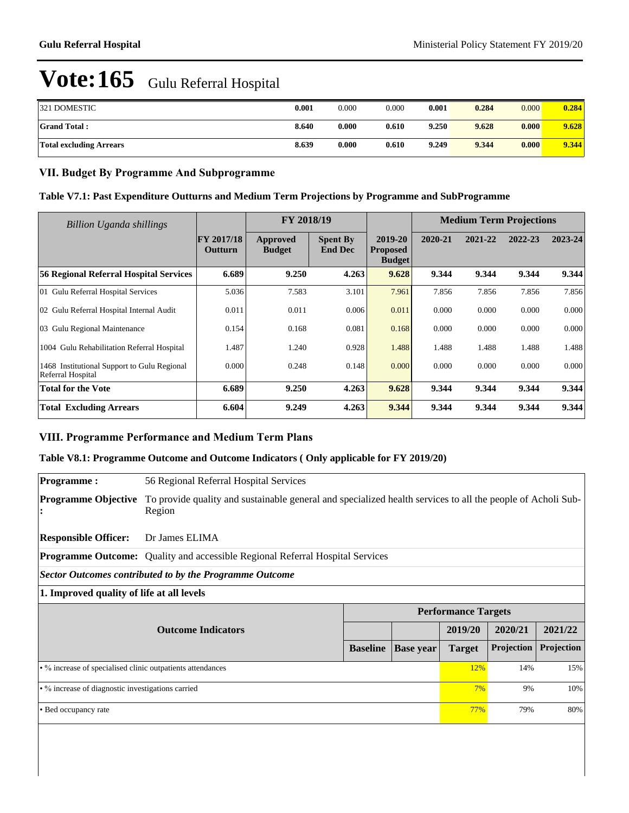| 321 DOMESTIC                   | 0.001 | 0.000 | 0.000 | 0.001 | 0.284 | 0.000 | 0.284 |
|--------------------------------|-------|-------|-------|-------|-------|-------|-------|
| <b>Grand Total:</b>            | 8.640 | 0.000 | 0.610 | 9.250 | 9.628 | 0.000 | 9.628 |
| <b>Total excluding Arrears</b> | 8.639 | 0.000 | 0.610 | 9.249 | 9.344 | 0.000 | 9.344 |

#### **VII. Budget By Programme And Subprogramme**

#### **Table V7.1: Past Expenditure Outturns and Medium Term Projections by Programme and SubProgramme**

| Billion Uganda shillings                                         |                              | FY 2018/19                |                                   |                                             |         | <b>Medium Term Projections</b> |         |             |
|------------------------------------------------------------------|------------------------------|---------------------------|-----------------------------------|---------------------------------------------|---------|--------------------------------|---------|-------------|
|                                                                  | <b>FY 2017/18</b><br>Outturn | Approved<br><b>Budget</b> | <b>Spent By</b><br><b>End Dec</b> | 2019-20<br><b>Proposed</b><br><b>Budget</b> | 2020-21 | 2021-22                        | 2022-23 | $2023 - 24$ |
| 56 Regional Referral Hospital Services                           | 6.689                        | 9.250                     | 4.263                             | 9.628                                       | 9.344   | 9.344                          | 9.344   | 9.344       |
| 01 Gulu Referral Hospital Services                               | 5.036                        | 7.583                     | 3.101                             | 7.961                                       | 7.856   | 7.856                          | 7.856   | 7.856       |
| 02 Gulu Referral Hospital Internal Audit                         | 0.011                        | 0.011                     | 0.006                             | 0.011                                       | 0.000   | 0.000                          | 0.000   | 0.000       |
| 03 Gulu Regional Maintenance                                     | 0.154                        | 0.168                     | 0.081                             | 0.168                                       | 0.000   | 0.000                          | 0.000   | 0.000       |
| 1004 Gulu Rehabilitation Referral Hospital                       | 1.487                        | 1.240                     | 0.928                             | 1.488                                       | 1.488   | 1.488                          | 1.488   | 1.488       |
| 1468 Institutional Support to Gulu Regional<br>Referral Hospital | 0.000                        | 0.248                     | 0.148                             | 0.000                                       | 0.000   | 0.000                          | 0.000   | 0.000       |
| <b>Total for the Vote</b>                                        | 6.689                        | 9.250                     | 4.263                             | 9.628                                       | 9.344   | 9.344                          | 9.344   | 9.344       |
| <b>Total Excluding Arrears</b>                                   | 6.604                        | 9.249                     | 4.263                             | 9.344                                       | 9.344   | 9.344                          | 9.344   | 9.344       |

### **VIII. Programme Performance and Medium Term Plans**

#### **Table V8.1: Programme Outcome and Outcome Indicators ( Only applicable for FY 2019/20)**

| <b>Programme:</b>                                          | 56 Regional Referral Hospital Services                                                                                |                 |                  |                            |            |            |  |  |  |
|------------------------------------------------------------|-----------------------------------------------------------------------------------------------------------------------|-----------------|------------------|----------------------------|------------|------------|--|--|--|
| <b>Programme Objective</b>                                 | To provide quality and sustainable general and specialized health services to all the people of Acholi Sub-<br>Region |                 |                  |                            |            |            |  |  |  |
| <b>Responsible Officer:</b>                                | Dr James ELIMA                                                                                                        |                 |                  |                            |            |            |  |  |  |
|                                                            | <b>Programme Outcome:</b> Quality and accessible Regional Referral Hospital Services                                  |                 |                  |                            |            |            |  |  |  |
| Sector Outcomes contributed to by the Programme Outcome    |                                                                                                                       |                 |                  |                            |            |            |  |  |  |
|                                                            | 1. Improved quality of life at all levels                                                                             |                 |                  |                            |            |            |  |  |  |
|                                                            |                                                                                                                       |                 |                  | <b>Performance Targets</b> |            |            |  |  |  |
|                                                            | <b>Outcome Indicators</b>                                                                                             |                 |                  | 2019/20                    | 2020/21    | 2021/22    |  |  |  |
|                                                            |                                                                                                                       | <b>Baseline</b> | <b>Base year</b> | <b>Target</b>              | Projection | Projection |  |  |  |
| • % increase of specialised clinic outpatients attendances |                                                                                                                       |                 |                  |                            | 14%        | 15%        |  |  |  |
| • % increase of diagnostic investigations carried          |                                                                                                                       |                 |                  |                            | 9%         | 10%        |  |  |  |
| • Bed occupancy rate                                       |                                                                                                                       |                 |                  |                            |            |            |  |  |  |
|                                                            |                                                                                                                       |                 |                  | 77%                        | 79%        | 80%        |  |  |  |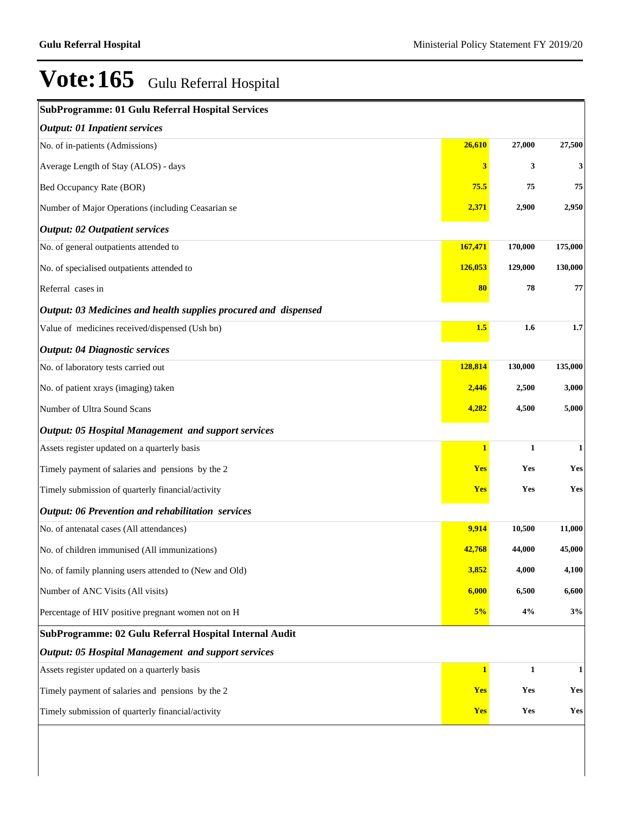| <b>SubProgramme: 01 Gulu Referral Hospital Services</b>         |                |              |              |
|-----------------------------------------------------------------|----------------|--------------|--------------|
| <b>Output: 01 Inpatient services</b>                            |                |              |              |
| No. of in-patients (Admissions)                                 | 26,610         | 27,000       | 27,500       |
| Average Length of Stay (ALOS) - days                            | 3              | 3            | $\mathbf{3}$ |
| Bed Occupancy Rate (BOR)                                        | 75.5           | 75           | 75           |
| Number of Major Operations (including Ceasarian se              | 2,371          | 2,900        | 2,950        |
| <b>Output: 02 Outpatient services</b>                           |                |              |              |
| No. of general outpatients attended to                          | 167,471        | 170,000      | 175,000      |
| No. of specialised outpatients attended to                      | 126,053        | 129,000      | 130,000      |
| Referral cases in                                               | 80             | 78           | 77           |
| Output: 03 Medicines and health supplies procured and dispensed |                |              |              |
| Value of medicines received/dispensed (Ush bn)                  | 1.5            | 1.6          | $1.7\,$      |
| <b>Output: 04 Diagnostic services</b>                           |                |              |              |
| No. of laboratory tests carried out                             | 128,814        | 130,000      | 135,000      |
| No. of patient xrays (imaging) taken                            | 2,446          | 2,500        | 3,000        |
| Number of Ultra Sound Scans                                     | 4,282          | 4,500        | 5,000        |
| <b>Output: 05 Hospital Management and support services</b>      |                |              |              |
| Assets register updated on a quarterly basis                    | $\overline{1}$ | $\mathbf{1}$ | $\mathbf{1}$ |
| Timely payment of salaries and pensions by the 2                | <b>Yes</b>     | <b>Yes</b>   | Yes          |
| Timely submission of quarterly financial/activity               | <b>Yes</b>     | Yes          | Yes          |
| Output: 06 Prevention and rehabilitation services               |                |              |              |
| No. of antenatal cases (All attendances)                        | 9,914          | 10,500       | 11,000       |
| No. of children immunised (All immunizations)                   | 42,768         | 44,000       | 45,000       |
| No. of family planning users attended to (New and Old)          | 3,852          | 4,000        | 4,100        |
| Number of ANC Visits (All visits)                               | 6,000          | 6,500        | 6,600        |
| Percentage of HIV positive pregnant women not on H              | 5%             | 4%           | 3%           |
| SubProgramme: 02 Gulu Referral Hospital Internal Audit          |                |              |              |
| <b>Output: 05 Hospital Management and support services</b>      |                |              |              |
| Assets register updated on a quarterly basis                    | $\mathbf{1}$   | $\mathbf{1}$ | $\mathbf{1}$ |
| Timely payment of salaries and pensions by the 2                | Yes            | Yes          | Yes          |
| Timely submission of quarterly financial/activity               | <b>Yes</b>     | Yes          | Yes          |
|                                                                 |                |              |              |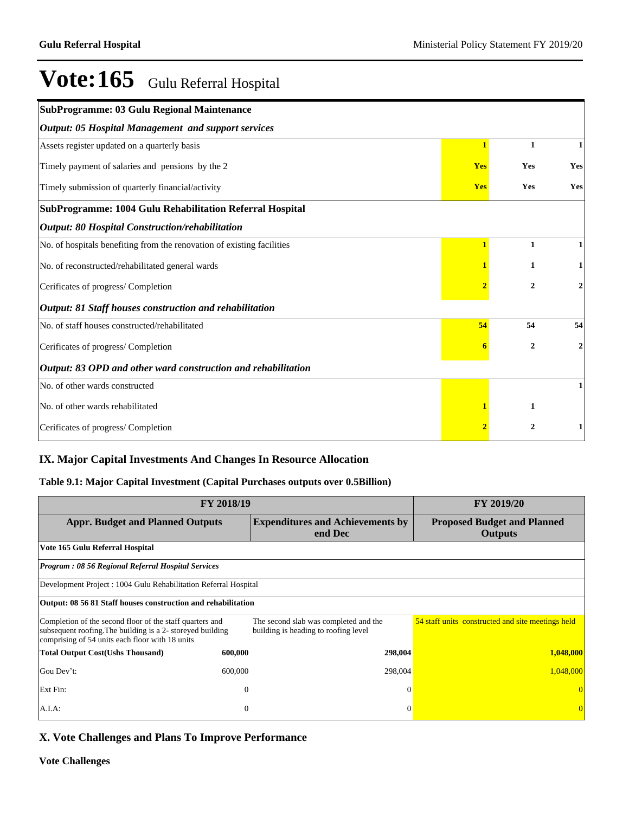| SubProgramme: 03 Gulu Regional Maintenance                             |                |                  |                |
|------------------------------------------------------------------------|----------------|------------------|----------------|
| Output: 05 Hospital Management and support services                    |                |                  |                |
| Assets register updated on a quarterly basis                           | $\mathbf{1}$   | $\mathbf{1}$     | 1              |
| Timely payment of salaries and pensions by the 2                       | <b>Yes</b>     | Yes              | Yes            |
| Timely submission of quarterly financial/activity                      | <b>Yes</b>     | Yes              | Yes            |
| SubProgramme: 1004 Gulu Rehabilitation Referral Hospital               |                |                  |                |
| Output: 80 Hospital Construction/rehabilitation                        |                |                  |                |
| No. of hospitals benefiting from the renovation of existing facilities |                | 1                |                |
| No. of reconstructed/rehabilitated general wards                       |                | 1                |                |
| Cerificates of progress/ Completion                                    | $\overline{2}$ | $\overline{2}$   | 2              |
| Output: 81 Staff houses construction and rehabilitation                |                |                  |                |
| No. of staff houses constructed/rehabilitated                          | 54             | 54               | 54             |
| Cerificates of progress/ Completion                                    |                | $\boldsymbol{2}$ | $\overline{2}$ |
| Output: 83 OPD and other ward construction and rehabilitation          |                |                  |                |
| No. of other wards constructed                                         |                |                  |                |
| No. of other wards rehabilitated                                       |                | 1                |                |
| Cerificates of progress/ Completion                                    |                | $\overline{2}$   |                |

### **IX. Major Capital Investments And Changes In Resource Allocation**

#### **Table 9.1: Major Capital Investment (Capital Purchases outputs over 0.5Billion)**

| FY 2018/19                                                                                                                                                                | FY 2019/20     |                                                                               |                                                      |  |  |  |  |
|---------------------------------------------------------------------------------------------------------------------------------------------------------------------------|----------------|-------------------------------------------------------------------------------|------------------------------------------------------|--|--|--|--|
| <b>Appr. Budget and Planned Outputs</b><br><b>Expenditures and Achievements by</b><br>end Dec                                                                             |                |                                                                               | <b>Proposed Budget and Planned</b><br><b>Outputs</b> |  |  |  |  |
| Vote 165 Gulu Referral Hospital                                                                                                                                           |                |                                                                               |                                                      |  |  |  |  |
| <b>Program: 08 56 Regional Referral Hospital Services</b>                                                                                                                 |                |                                                                               |                                                      |  |  |  |  |
| Development Project: 1004 Gulu Rehabilitation Referral Hospital                                                                                                           |                |                                                                               |                                                      |  |  |  |  |
| Output: 08 56 81 Staff houses construction and rehabilitation                                                                                                             |                |                                                                               |                                                      |  |  |  |  |
| Completion of the second floor of the staff quarters and<br>subsequent roofing. The building is a 2- storeyed building<br>comprising of 54 units each floor with 18 units |                | The second slab was completed and the<br>building is heading to roofing level | 54 staff units constructed and site meetings held    |  |  |  |  |
| <b>Total Output Cost(Ushs Thousand)</b>                                                                                                                                   | 600,000        | 298,004                                                                       | 1,048,000                                            |  |  |  |  |
| Gou Dev't:                                                                                                                                                                | 600,000        | 298,004                                                                       | 1,048,000                                            |  |  |  |  |
| Ext Fin:                                                                                                                                                                  | $\overline{0}$ | $\Omega$                                                                      |                                                      |  |  |  |  |
| $A.I.A$ :                                                                                                                                                                 | $\overline{0}$ | $\Omega$                                                                      | $\Omega$                                             |  |  |  |  |

### **X. Vote Challenges and Plans To Improve Performance**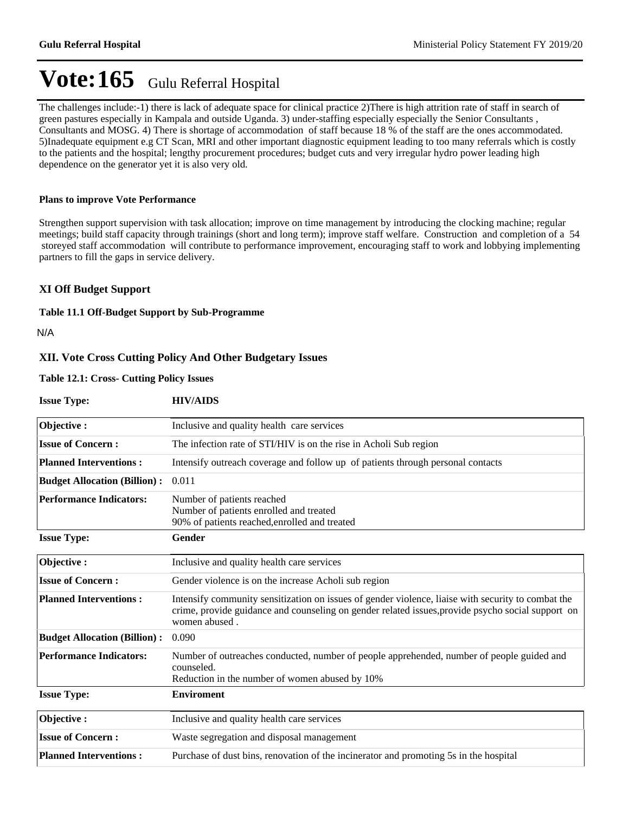The challenges include:-1) there is lack of adequate space for clinical practice 2)There is high attrition rate of staff in search of green pastures especially in Kampala and outside Uganda. 3) under-staffing especially especially the Senior Consultants , Consultants and MOSG. 4) There is shortage of accommodation of staff because 18 % of the staff are the ones accommodated. 5)Inadequate equipment e.g CT Scan, MRI and other important diagnostic equipment leading to too many referrals which is costly to the patients and the hospital; lengthy procurement procedures; budget cuts and very irregular hydro power leading high dependence on the generator yet it is also very old.

#### **Plans to improve Vote Performance**

Strengthen support supervision with task allocation; improve on time management by introducing the clocking machine; regular meetings; build staff capacity through trainings (short and long term); improve staff welfare. Construction and completion of a 54 storeyed staff accommodation will contribute to performance improvement, encouraging staff to work and lobbying implementing partners to fill the gaps in service delivery.

#### **XI Off Budget Support**

#### **Table 11.1 Off-Budget Support by Sub-Programme**

N/A

#### **XII. Vote Cross Cutting Policy And Other Budgetary Issues**

#### **Table 12.1: Cross- Cutting Policy Issues**

| <b>Issue Type:</b>                  | <b>HIV/AIDS</b>                                                                                                                                                                                                          |
|-------------------------------------|--------------------------------------------------------------------------------------------------------------------------------------------------------------------------------------------------------------------------|
| Objective:                          | Inclusive and quality health care services                                                                                                                                                                               |
| <b>Issue of Concern:</b>            | The infection rate of STI/HIV is on the rise in Acholi Sub region                                                                                                                                                        |
| <b>Planned Interventions:</b>       | Intensify outreach coverage and follow up of patients through personal contacts                                                                                                                                          |
| <b>Budget Allocation (Billion):</b> | 0.011                                                                                                                                                                                                                    |
| <b>Performance Indicators:</b>      | Number of patients reached<br>Number of patients enrolled and treated<br>90% of patients reached, enrolled and treated                                                                                                   |
| <b>Issue Type:</b>                  | Gender                                                                                                                                                                                                                   |
| Objective:                          | Inclusive and quality health care services                                                                                                                                                                               |
| <b>Issue of Concern:</b>            | Gender violence is on the increase Acholi sub region                                                                                                                                                                     |
| <b>Planned Interventions:</b>       | Intensify community sensitization on issues of gender violence, liaise with security to combat the<br>crime, provide guidance and counseling on gender related issues, provide psycho social support on<br>women abused. |
| <b>Budget Allocation (Billion):</b> | 0.090                                                                                                                                                                                                                    |
| <b>Performance Indicators:</b>      | Number of outreaches conducted, number of people apprehended, number of people guided and<br>counseled.<br>Reduction in the number of women abused by 10%                                                                |
| <b>Issue Type:</b>                  | <b>Enviroment</b>                                                                                                                                                                                                        |
| Objective:                          | Inclusive and quality health care services                                                                                                                                                                               |
| <b>Issue of Concern:</b>            | Waste segregation and disposal management                                                                                                                                                                                |
| <b>Planned Interventions:</b>       | Purchase of dust bins, renovation of the incinerator and promoting 5s in the hospital                                                                                                                                    |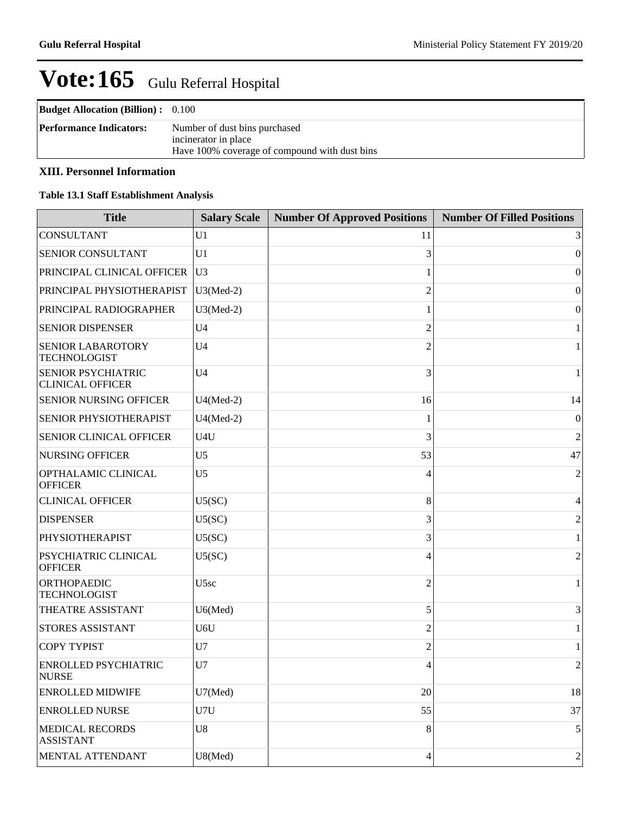| <b>Budget Allocation (Billion):</b> 0.100 |                                                                                                        |
|-------------------------------------------|--------------------------------------------------------------------------------------------------------|
| <b>Performance Indicators:</b>            | Number of dust bins purchased<br>incinerator in place<br>Have 100% coverage of compound with dust bins |

### **XIII. Personnel Information**

#### **Table 13.1 Staff Establishment Analysis**

| <b>Title</b>                                         | <b>Salary Scale</b> | <b>Number Of Approved Positions</b> | <b>Number Of Filled Positions</b> |
|------------------------------------------------------|---------------------|-------------------------------------|-----------------------------------|
| <b>CONSULTANT</b>                                    | U <sub>1</sub>      | 11                                  | 3                                 |
| <b>SENIOR CONSULTANT</b>                             | U <sub>1</sub>      | 3                                   | $\boldsymbol{0}$                  |
| PRINCIPAL CLINICAL OFFICER                           | U <sub>3</sub>      |                                     | $\boldsymbol{0}$                  |
| PRINCIPAL PHYSIOTHERAPIST                            | $U3(Med-2)$         | $\overline{2}$                      | $\boldsymbol{0}$                  |
| PRINCIPAL RADIOGRAPHER                               | $U3(Med-2)$         |                                     | $\boldsymbol{0}$                  |
| <b>SENIOR DISPENSER</b>                              | U <sub>4</sub>      | $\overline{2}$                      | 1                                 |
| <b>SENIOR LABAROTORY</b><br><b>TECHNOLOGIST</b>      | U <sub>4</sub>      | $\overline{2}$                      | $\mathbf{1}$                      |
| <b>SENIOR PSYCHIATRIC</b><br><b>CLINICAL OFFICER</b> | U <sub>4</sub>      | 3                                   | 1                                 |
| <b>SENIOR NURSING OFFICER</b>                        | $U4(Med-2)$         | 16                                  | 14                                |
| <b>SENIOR PHYSIOTHERAPIST</b>                        | $U4(Med-2)$         |                                     | $\boldsymbol{0}$                  |
| <b>SENIOR CLINICAL OFFICER</b>                       | U4U                 | 3                                   | $\overline{2}$                    |
| <b>NURSING OFFICER</b>                               | U <sub>5</sub>      | 53                                  | 47                                |
| OPTHALAMIC CLINICAL<br><b>OFFICER</b>                | U <sub>5</sub>      | 4                                   | 2                                 |
| <b>CLINICAL OFFICER</b>                              | U5(SC)              | 8                                   | 4                                 |
| <b>DISPENSER</b>                                     | U5(SC)              | 3                                   | $\overline{c}$                    |
| PHYSIOTHERAPIST                                      | U5(SC)              | 3                                   | 1                                 |
| <b>PSYCHIATRIC CLINICAL</b><br><b>OFFICER</b>        | U5(SC)              | 4                                   | 2                                 |
| <b>ORTHOPAEDIC</b><br><b>TECHNOLOGIST</b>            | U <sub>5sc</sub>    | $\overline{c}$                      | 1                                 |
| THEATRE ASSISTANT                                    | U6(Med)             | 5                                   | 3                                 |
| <b>STORES ASSISTANT</b>                              | U6U                 | $\overline{2}$                      | $\mathbf{1}$                      |
| <b>COPY TYPIST</b>                                   | U7                  | $\overline{2}$                      | 1                                 |
| <b>ENROLLED PSYCHIATRIC</b><br><b>NURSE</b>          | U7                  | 4                                   | 2                                 |
| <b>ENROLLED MIDWIFE</b>                              | U7(Med)             | 20                                  | 18                                |
| <b>ENROLLED NURSE</b>                                | U7U                 | 55                                  | 37                                |
| <b>MEDICAL RECORDS</b><br><b>ASSISTANT</b>           | U8                  | 8                                   | 5                                 |
| MENTAL ATTENDANT                                     | U8(Med)             | 4                                   | $\overline{c}$                    |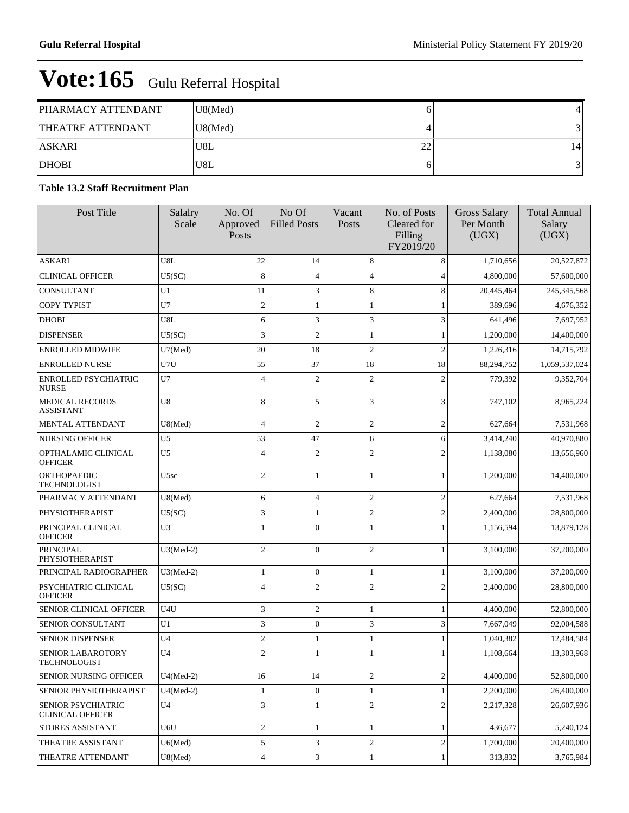| PHARMACY ATTENDANT       | U8(Med) |    |    |
|--------------------------|---------|----|----|
| <b>THEATRE ATTENDANT</b> | U8(Med) |    |    |
| <b>ASKARI</b>            | 'U8L    | 22 | 14 |
| <b>DHOBI</b>             | 'U8L    |    |    |

#### **Table 13.2 Staff Recruitment Plan**

| Post Title                                           | Salalry<br>Scale | No. Of<br>Approved<br>Posts | No Of<br><b>Filled Posts</b> | Vacant<br>Posts | No. of Posts<br>Cleared for<br>Filling<br>FY2019/20 | <b>Gross Salary</b><br>Per Month<br>(UGX) | <b>Total Annual</b><br>Salary<br>(UGX) |
|------------------------------------------------------|------------------|-----------------------------|------------------------------|-----------------|-----------------------------------------------------|-------------------------------------------|----------------------------------------|
| <b>ASKARI</b>                                        | U8L              | 22                          | 14                           | 8               | 8                                                   | 1,710,656                                 | 20,527,872                             |
| <b>CLINICAL OFFICER</b>                              | U5(SC)           | 8                           | $\overline{4}$               | 4               | $\overline{4}$                                      | 4,800,000                                 | 57,600,000                             |
| CONSULTANT                                           | U1               | 11                          | 3                            | 8               | 8                                                   | 20,445,464                                | 245, 345, 568                          |
| COPY TYPIST                                          | U7               | $\overline{2}$              | 1                            |                 | 1                                                   | 389,696                                   | 4,676,352                              |
| <b>DHOBI</b>                                         | U8L              | 6                           | 3                            | 3               | 3                                                   | 641,496                                   | 7,697,952                              |
| <b>DISPENSER</b>                                     | U5(SC)           | 3                           | $\mathfrak{2}$               |                 | 1                                                   | 1,200,000                                 | 14,400,000                             |
| <b>ENROLLED MIDWIFE</b>                              | U7(Med)          | 20                          | 18                           | $\overline{c}$  | $\overline{2}$                                      | 1,226,316                                 | 14,715,792                             |
| <b>ENROLLED NURSE</b>                                | U7U              | 55                          | 37                           | 18              | 18                                                  | 88,294,752                                | 1,059,537,024                          |
| ENROLLED PSYCHIATRIC<br><b>NURSE</b>                 | U7               | $\overline{4}$              | $\mathfrak{2}$               | $\overline{c}$  | $\mathbf{2}$                                        | 779,392                                   | 9,352,704                              |
| <b>MEDICAL RECORDS</b><br><b>ASSISTANT</b>           | U8               | 8                           | 5                            | 3               | 3                                                   | 747,102                                   | 8,965,224                              |
| MENTAL ATTENDANT                                     | U8(Med)          | $\overline{4}$              | $\mathfrak{2}$               | $\mathfrak{2}$  | $\overline{2}$                                      | 627,664                                   | 7,531,968                              |
| <b>NURSING OFFICER</b>                               | U <sub>5</sub>   | 53                          | 47                           | 6               | 6                                                   | 3,414,240                                 | 40,970,880                             |
| OPTHALAMIC CLINICAL<br><b>OFFICER</b>                | U <sub>5</sub>   | $\overline{4}$              | $\mathfrak{2}$               | $\overline{c}$  | $\overline{2}$                                      | 1,138,080                                 | 13,656,960                             |
| ORTHOPAEDIC<br><b>TECHNOLOGIST</b>                   | U5sc             | $\overline{2}$              | 1                            | 1               | 1                                                   | 1,200,000                                 | 14,400,000                             |
| PHARMACY ATTENDANT                                   | U8(Med)          | 6                           | $\overline{4}$               | 2               | $\mathbf{2}$                                        | 627,664                                   | 7,531,968                              |
| PHYSIOTHERAPIST                                      | U5(SC)           | 3                           | 1                            | $\overline{c}$  | $\overline{c}$                                      | 2,400,000                                 | 28,800,000                             |
| PRINCIPAL CLINICAL<br><b>OFFICER</b>                 | U <sub>3</sub>   |                             | $\overline{0}$               |                 | 1                                                   | 1,156,594                                 | 13,879,128                             |
| PRINCIPAL<br>PHYSIOTHERAPIST                         | $U3(Med-2)$      | $\overline{c}$              | $\overline{0}$               | 2               | 1                                                   | 3,100,000                                 | 37,200,000                             |
| PRINCIPAL RADIOGRAPHER                               | $U3(Med-2)$      | $\mathbf{1}$                | $\boldsymbol{0}$             | 1               | $\mathbf{1}$                                        | 3,100,000                                 | 37,200,000                             |
| PSYCHIATRIC CLINICAL<br><b>OFFICER</b>               | U5(SC)           | $\overline{4}$              | $\overline{c}$               | $\overline{c}$  | $\overline{2}$                                      | 2,400,000                                 | 28,800,000                             |
| SENIOR CLINICAL OFFICER                              | U4U              | $\mathfrak{Z}$              | $\sqrt{2}$                   | 1               | $\mathbf{1}$                                        | 4,400,000                                 | 52,800,000                             |
| <b>SENIOR CONSULTANT</b>                             | U1               | $\mathfrak{Z}$              | $\boldsymbol{0}$             | 3               | 3                                                   | 7,667,049                                 | 92,004,588                             |
| <b>SENIOR DISPENSER</b>                              | U <sub>4</sub>   | $\overline{2}$              | 1                            |                 | 1                                                   | 1,040,382                                 | 12,484,584                             |
| SENIOR LABAROTORY<br>TECHNOLOGIST                    | U <sub>4</sub>   | $\overline{c}$              | 1                            |                 | 1                                                   | 1.108.664                                 | 13,303,968                             |
| <b>SENIOR NURSING OFFICER</b>                        | $U4(Med-2)$      | 16                          | 14                           | 2               | $\sqrt{2}$                                          | 4,400,000                                 | 52,800,000                             |
| SENIOR PHYSIOTHERAPIST                               | $U4(Med-2)$      |                             | $\boldsymbol{0}$             | $\mathbf{1}$    | $\mathbf{1}$                                        | 2,200,000                                 | 26,400,000                             |
| <b>SENIOR PSYCHIATRIC</b><br><b>CLINICAL OFFICER</b> | U <sub>4</sub>   | 3                           | 1                            | $\overline{c}$  | $\sqrt{2}$                                          | 2,217,328                                 | 26,607,936                             |
| STORES ASSISTANT                                     | U6U              | $\overline{\mathbf{c}}$     | $\,1$                        | 1               | $\mathbf{1}$                                        | 436,677                                   | 5,240,124                              |
| THEATRE ASSISTANT                                    | $U6$ (Med)       | 5                           | 3                            | 2               | $\sqrt{2}$                                          | 1,700,000                                 | 20,400,000                             |
| THEATRE ATTENDANT                                    | U8(Med)          | $\overline{4}$              | 3                            | 1               | 1                                                   | 313,832                                   | 3,765,984                              |